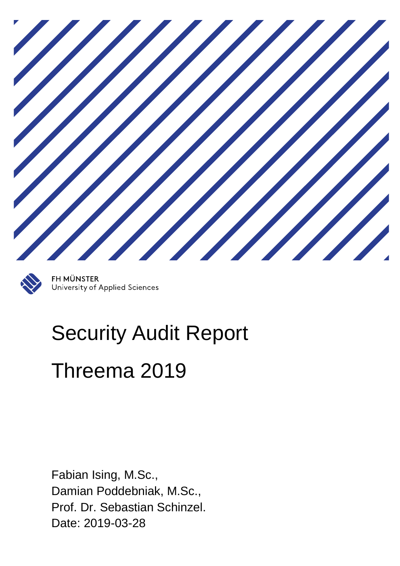

**FH MÜNSTER** University of Applied Sciences

# Security Audit Report Threema 2019

Fabian Ising, M.Sc., Damian Poddebniak, M.Sc., Prof. Dr. Sebastian Schinzel. Date: 2019-03-28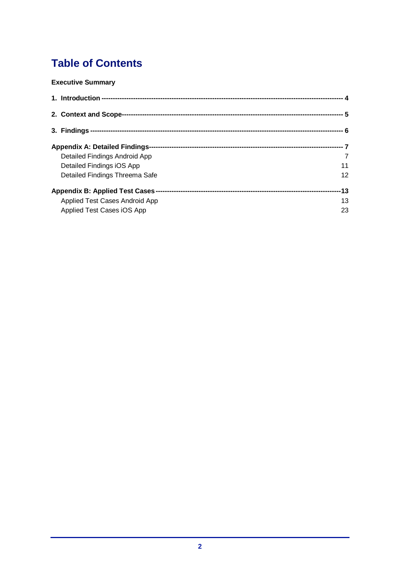# **Table of Contents**

## **[Executive Summary](#page-2-0)**

| 2. Context and Scope-                    |     |
|------------------------------------------|-----|
|                                          |     |
| <b>Appendix A: Detailed Findings-</b>    |     |
| Detailed Findings Android App            | 7   |
| Detailed Findings iOS App                | 11  |
| Detailed Findings Threema Safe           | 12  |
| <b>Appendix B: Applied Test Cases --</b> | -13 |
| Applied Test Cases Android App           | 13  |
| Applied Test Cases iOS App               | 23  |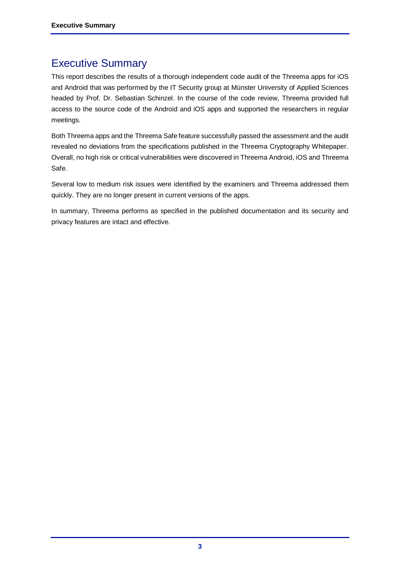# <span id="page-2-0"></span>Executive Summary

This report describes the results of a thorough independent code audit of the Threema apps for iOS and Android that was performed by the IT Security group at Münster University of Applied Sciences headed by Prof. Dr. Sebastian Schinzel. In the course of the code review, Threema provided full access to the source code of the Android and iOS apps and supported the researchers in regular meetings.

Both Threema apps and the Threema Safe feature successfully passed the assessment and the audit revealed no deviations from the specifications published in the Threema Cryptography Whitepaper. Overall, no high risk or critical vulnerabilities were discovered in Threema Android, iOS and Threema Safe.

Several low to medium risk issues were identified by the examiners and Threema addressed them quickly. They are no longer present in current versions of the apps.

In summary, Threema performs as specified in the published documentation and its security and privacy features are intact and effective.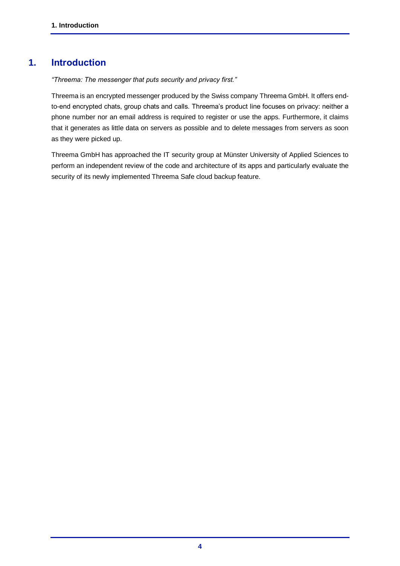# **1. Introduction**

<span id="page-3-0"></span>*"Threema: The messenger that puts security and privacy first."*

Threema is an encrypted messenger produced by the Swiss company Threema GmbH. It offers endto-end encrypted chats, group chats and calls. Threema's product line focuses on privacy: neither a phone number nor an email address is required to register or use the apps. Furthermore, it claims that it generates as little data on servers as possible and to delete messages from servers as soon as they were picked up.

Threema GmbH has approached the IT security group at Münster University of Applied Sciences to perform an independent review of the code and architecture of its apps and particularly evaluate the security of its newly implemented Threema Safe cloud backup feature.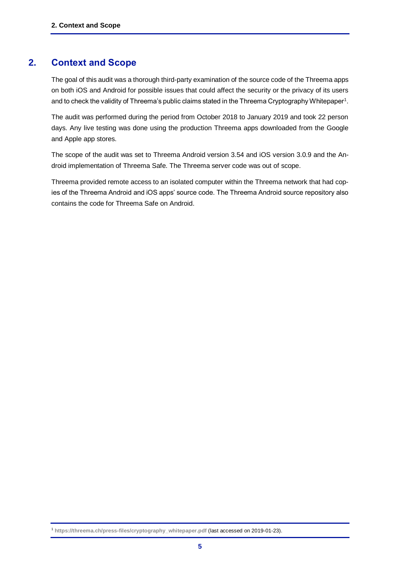# **2. Context and Scope**

<span id="page-4-0"></span>The goal of this audit was a thorough third-party examination of the source code of the Threema apps on both iOS and Android for possible issues that could affect the security or the privacy of its users and to check the validity of Threema's public claims stated in the Threema Cryptography Whitepaper $^{\rm 1}.$ 

The audit was performed during the period from October 2018 to January 2019 and took 22 person days. Any live testing was done using the production Threema apps downloaded from the Google and Apple app stores.

The scope of the audit was set to Threema Android version 3.54 and iOS version 3.0.9 and the Android implementation of Threema Safe. The Threema server code was out of scope.

Threema provided remote access to an isolated computer within the Threema network that had copies of the Threema Android and iOS apps' source code. The Threema Android source repository also contains the code for Threema Safe on Android.

<sup>1</sup> **[https://threema.ch/press-files/cryptography\\_whitepaper.pdf](https://threema.ch/press-files/cryptography_whitepaper.pdf)** (last accessed on 2019-01-23).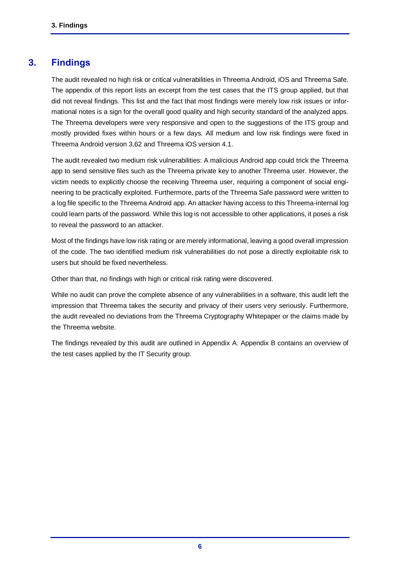# **3. Findings**

<span id="page-5-0"></span>The audit revealed no high risk or critical vulnerabilities in Threema Android, iOS and Threema Safe. The appendix of this report lists an excerpt from the test cases that the ITS group applied, but that did not reveal findings. This list and the fact that most findings were merely low risk issues or informational notes is a sign for the overall good quality and high security standard of the analyzed apps. The Threema developers were very responsive and open to the suggestions of the ITS group and mostly provided fixes within hours or a few days. All medium and low risk findings were fixed in Threema Android version 3.62 and Threema iOS version 4.1.

The audit revealed two medium risk vulnerabilities: A malicious Android app could trick the Threema app to send sensitive files such as the Threema private key to another Threema user. However, the victim needs to explicitly choose the receiving Threema user, requiring a component of social engineering to be practically exploited. Furthermore, parts of the Threema Safe password were written to a log file specific to the Threema Android app. An attacker having access to this Threema-internal log could learn parts of the password. While this log is not accessible to other applications, it poses a risk to reveal the password to an attacker.

Most of the findings have low risk rating or are merely informational, leaving a good overall impression of the code. The two identified medium risk vulnerabilities do not pose a directly exploitable risk to users but should be fixed nevertheless.

Other than that, no findings with high or critical risk rating were discovered.

While no audit can prove the complete absence of any vulnerabilities in a software, this audit left the impression that Threema takes the security and privacy of their users very seriously. Furthermore, the audit revealed no deviations from the Threema Cryptography Whitepaper or the claims made by the Threema website.

The findings revealed by this audit are outlined in Appendix A. Appendix B contains an overview of the test cases applied by the IT Security group.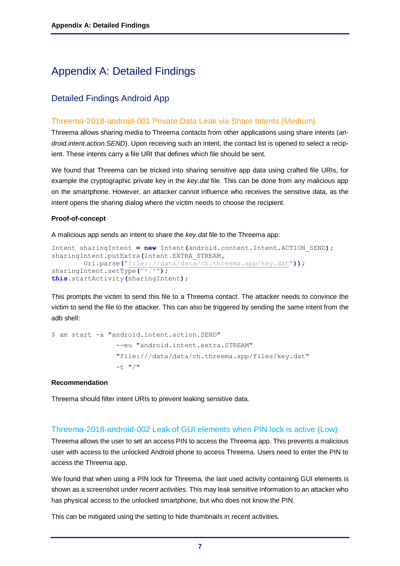# <span id="page-6-0"></span>Appendix A: Detailed Findings

# <span id="page-6-1"></span>Detailed Findings Android App

# Threema-2018-android-001 Private Data Leak via Share Intents (Medium)

Threema allows sharing media to Threema contacts from other applications using share intents (*android.intent.action.SEND*). Upon receiving such an intent, the contact list is opened to select a recipient. These intents carry a file URI that defines which file should be sent.

We found that Threema can be tricked into sharing sensitive app data using crafted file URIs, for example the cryptographic private key in the *key.dat* file. This can be done from any malicious app on the smartphone. However, an attacker cannot influence who receives the sensitive data, as the intent opens the sharing dialog where the victim needs to choose the recipient.

#### **Proof-of-concept**

A malicious app sends an intent to share the *key.dat* file to the Threema app:

```
Intent sharingIntent = new Intent(android.content.Intent.ACTION_SEND);
sharingIntent.putExtra(Intent.EXTRA_STREAM,
        Uri.parse("file:///data/data/ch.threema.app/key.dat"));
sharingIntent.setType("*/*");
this.startActivity(sharingIntent);
```
This prompts the victim to send this file to a Threema contact. The attacker needs to convince the victim to send the file to the attacker. This can also be triggered by sending the same intent from the adb shell:

```
$ am start -a "android.intent.action.SEND" 
                  --eu "android.intent.extra.STREAM" 
                  "file:///data/data/ch.threema.app/files/key.dat" 
                 -t "/"
```
#### **Recommendation**

Threema should filter intent URIs to prevent leaking sensitive data.

# Threema-2018-android-002 Leak of GUI elements when PIN lock is active (Low)

Threema allows the user to set an access PIN to access the Threema app. This prevents a malicious user with access to the unlocked Android phone to access Threema. Users need to enter the PIN to access the Threema app.

We found that when using a PIN lock for Threema, the last used activity containing GUI elements is shown as a screenshot under *recent activities*. This may leak sensitive information to an attacker who has physical access to the unlocked smartphone, but who does not know the PIN.

This can be mitigated using the setting to hide thumbnails in recent activities.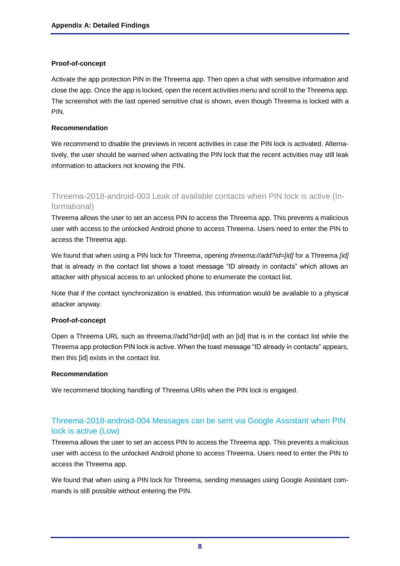#### **Proof-of-concept**

Activate the app protection PIN in the Threema app. Then open a chat with sensitive information and close the app. Once the app is locked, open the recent activities menu and scroll to the Threema app. The screenshot with the last opened sensitive chat is shown, even though Threema is locked with a PIN.

#### **Recommendation**

We recommend to disable the previews in recent activities in case the PIN lock is activated. Alternatively, the user should be warned when activating the PIN lock that the recent activities may still leak information to attackers not knowing the PIN.

# Threema-2018-android-003 Leak of available contacts when PIN lock is active (Informational)

Threema allows the user to set an access PIN to access the Threema app. This prevents a malicious user with access to the unlocked Android phone to access Threema. Users need to enter the PIN to access the Threema app.

We found that when using a PIN lock for Threema, opening *threema://add?id=[id]* for a Threema *[id]* that is already in the contact list shows a toast message "ID already in contacts" which allows an attacker with physical access to an unlocked phone to enumerate the contact list.

Note that if the contact synchronization is enabled, this information would be available to a physical attacker anyway.

## **Proof-of-concept**

Open a Threema URL such as threema://add?id=[id] with an [id] that is in the contact list while the Threema app protection PIN lock is active. When the toast message "ID already in contacts" appears, then this [id] exists in the contact list.

#### **Recommendation**

We recommend blocking handling of Threema URIs when the PIN lock is engaged.

# Threema-2018-android-004 Messages can be sent via Google Assistant when PIN lock is active (Low)

Threema allows the user to set an access PIN to access the Threema app. This prevents a malicious user with access to the unlocked Android phone to access Threema. Users need to enter the PIN to access the Threema app.

We found that when using a PIN lock for Threema, sending messages using Google Assistant commands is still possible without entering the PIN.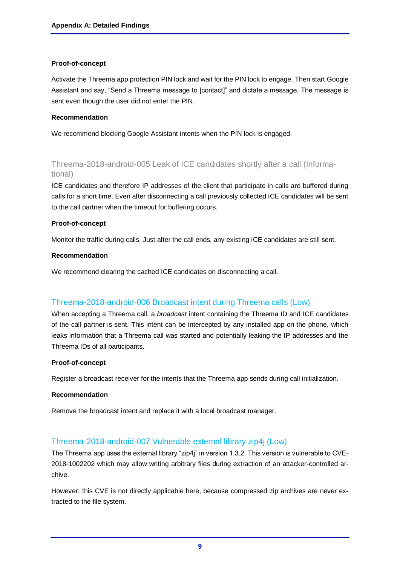#### **Proof-of-concept**

Activate the Threema app protection PIN lock and wait for the PIN lock to engage. Then start Google Assistant and say, "Send a Threema message to [contact]" and dictate a message. The message is sent even though the user did not enter the PIN.

#### **Recommendation**

We recommend blocking Google Assistant intents when the PIN lock is engaged.

# Threema-2018-android-005 Leak of ICE candidates shortly after a call (Informational)

ICE candidates and therefore IP addresses of the client that participate in calls are buffered during calls for a short time. Even after disconnecting a call previously collected ICE candidates will be sent to the call partner when the timeout for buffering occurs.

#### **Proof-of-concept**

Monitor the traffic during calls. Just after the call ends, any existing ICE candidates are still sent.

#### **Recommendation**

We recommend clearing the cached ICE candidates on disconnecting a call.

# Threema-2018-android-006 Broadcast intent during Threema calls (Low)

When accepting a Threema call, a *broadcast* intent containing the Threema ID and ICE candidates of the call partner is sent. This intent can be intercepted by any installed app on the phone, which leaks information that a Threema call was started and potentially leaking the IP addresses and the Threema IDs of all participants.

#### **Proof-of-concept**

Register a broadcast receiver for the intents that the Threema app sends during call initialization.

#### **Recommendation**

Remove the broadcast intent and replace it with a local broadcast manager.

## Threema-2018-android-007 Vulnerable external library zip4j (Low)

The Threema app uses the external library "zip4j" in version 1.3.2. This version is vulnerable to CVE-2018-1002202 which may allow writing arbitrary files during extraction of an attacker-controlled archive.

However, this CVE is not directly applicable here, because compressed zip archives are never extracted to the file system.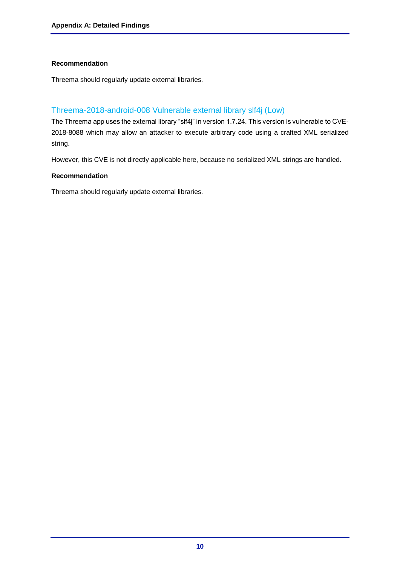## **Recommendation**

Threema should regularly update external libraries.

# Threema-2018-android-008 Vulnerable external library slf4j (Low)

The Threema app uses the external library "slf4j" in version 1.7.24. This version is vulnerable to CVE-2018-8088 which may allow an attacker to execute arbitrary code using a crafted XML serialized string.

However, this CVE is not directly applicable here, because no serialized XML strings are handled.

#### **Recommendation**

Threema should regularly update external libraries.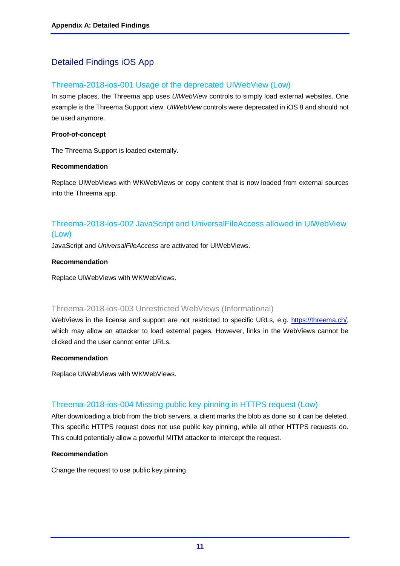# <span id="page-10-0"></span>Detailed Findings iOS App

# Threema-2018-ios-001 Usage of the deprecated UIWebView (Low)

In some places, the Threema app uses *UIWebView* controls to simply load external websites. One example is the Threema Support view. *UIWebView* controls were deprecated in iOS 8 and should not be used anymore.

#### **Proof-of-concept**

The Threema Support is loaded externally.

#### **Recommendation**

Replace UIWebViews with WKWebViews or copy content that is now loaded from external sources into the Threema app.

# Threema-2018-ios-002 JavaScript and UniversalFileAccess allowed in UIWebView (Low)

JavaScript and *UniversalFileAccess* are activated for UIWebViews.

#### **Recommendation**

Replace UIWebViews with WKWebViews.

# Threema-2018-ios-003 Unrestricted WebViews (Informational)

WebViews in the license and support are not restricted to specific URLs, e.g. [https://threema.ch/,](https://threema.ch/) which may allow an attacker to load external pages. However, links in the WebViews cannot be clicked and the user cannot enter URLs.

#### **Recommendation**

Replace UIWebViews with WKWebViews.

# Threema-2018-ios-004 Missing public key pinning in HTTPS request (Low)

After downloading a blob from the blob servers, a client marks the blob as done so it can be deleted. This specific HTTPS request does not use public key pinning, while all other HTTPS requests do. This could potentially allow a powerful MITM attacker to intercept the request.

#### **Recommendation**

Change the request to use public key pinning.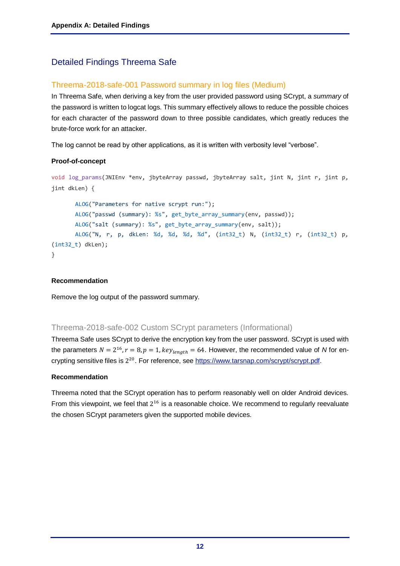# <span id="page-11-0"></span>Detailed Findings Threema Safe

# Threema-2018-safe-001 Password summary in log files (Medium)

In Threema Safe, when deriving a key from the user provided password using SCrypt, a *summary* of the password is written to logcat logs. This summary effectively allows to reduce the possible choices for each character of the password down to three possible candidates, which greatly reduces the brute-force work for an attacker.

The log cannot be read by other applications, as it is written with verbosity level "verbose".

## **Proof-of-concept**

```
void log params(JNIEnv *env, jbyteArray passwd, jbyteArray salt, jint N, jint r, jint p,
jint dkLen) {
       ALOG("Parameters for native scrypt run:");
       ALOG("passwd (summary): %s", get byte array summary(env, passwd));
       ALOG("salt (summary): %s", get byte array summary(env, salt));
       ALOG("N, r, p, dkLen: %d, %d, %d, %d", (int32_t) N, (int32_t) r, (int32_t) p, 
(int32_t) dkLen);
}
```
#### **Recommendation**

Remove the log output of the password summary.

## Threema-2018-safe-002 Custom SCrypt parameters (Informational)

Threema Safe uses SCrypt to derive the encryption key from the user password. SCrypt is used with the parameters  $N = 2^{16}$ ,  $r = 8$ ,  $p = 1$ ,  $key_{length} = 64$ . However, the recommended value of N for encrypting sensitive files is 2<sup>20</sup>. For reference, se[e https://www.tarsnap.com/scrypt/scrypt.pdf.](https://www.tarsnap.com/scrypt/scrypt.pdf)

#### **Recommendation**

Threema noted that the SCrypt operation has to perform reasonably well on older Android devices. From this viewpoint, we feel that  $2^{16}$  is a reasonable choice. We recommend to regularly reevaluate the chosen SCrypt parameters given the supported mobile devices.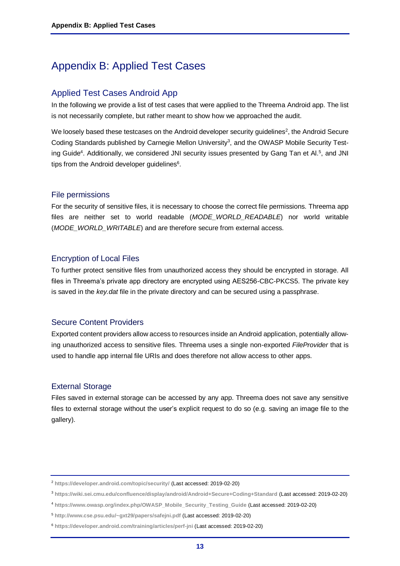# <span id="page-12-0"></span>Appendix B: Applied Test Cases

# <span id="page-12-1"></span>Applied Test Cases Android App

In the following we provide a list of test cases that were applied to the Threema Android app. The list is not necessarily complete, but rather meant to show how we approached the audit.

We loosely based these testcases on the Android developer security guidelines<sup>2</sup>, the Android Secure Coding Standards published by Carnegie Mellon University<sup>3</sup>, and the OWASP Mobile Security Testing Guide<sup>4</sup>. Additionally, we considered JNI security issues presented by Gang Tan et Al.<sup>5</sup>, and JNI tips from the Android developer guidelines<sup>6</sup>.

#### File permissions

For the security of sensitive files, it is necessary to choose the correct file permissions. Threema app files are neither set to world readable (*MODE\_WORLD\_READABLE*) nor world writable (*MODE\_WORLD\_WRITABLE*) and are therefore secure from external access.

## Encryption of Local Files

To further protect sensitive files from unauthorized access they should be encrypted in storage. All files in Threema's private app directory are encrypted using AES256-CBC-PKCS5. The private key is saved in the *key.dat* file in the private directory and can be secured using a passphrase.

## Secure Content Providers

Exported content providers allow access to resources inside an Android application, potentially allowing unauthorized access to sensitive files. Threema uses a single non-exported *FileProvider* that is used to handle app internal file URIs and does therefore not allow access to other apps.

## External Storage

Files saved in external storage can be accessed by any app. Threema does not save any sensitive files to external storage without the user's explicit request to do so (e.g. saving an image file to the gallery).

<sup>2</sup> **<https://developer.android.com/topic/security/>** (Last accessed: 2019-02-20)

<sup>3</sup> **<https://wiki.sei.cmu.edu/confluence/display/android/Android+Secure+Coding+Standard>** (Last accessed: 2019-02-20)

<sup>4</sup> **[https://www.owasp.org/index.php/OWASP\\_Mobile\\_Security\\_Testing\\_Guide](https://www.owasp.org/index.php/OWASP_Mobile_Security_Testing_Guide)** (Last accessed: 2019-02-20)

<sup>5</sup> **<http://www.cse.psu.edu/~gxt29/papers/safejni.pdf>** (Last accessed: 2019-02-20)

<sup>6</sup> **<https://developer.android.com/training/articles/perf-jni>** (Last accessed: 2019-02-20)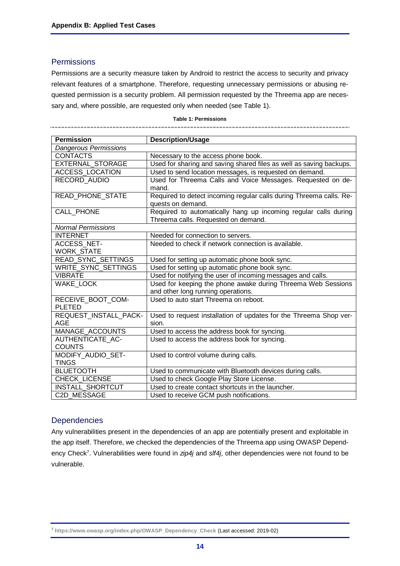---------------------------------

#### **Permissions**

Permissions are a security measure taken by Android to restrict the access to security and privacy relevant features of a smartphone. Therefore, requesting unnecessary permissions or abusing requested permission is a security problem. All permission requested by the Threema app are necessary and, where possible, are requested only when needed (see [Table 1\)](#page-13-0).

#### **Table 1: Permissions**

\_\_\_\_\_\_\_\_\_\_\_\_\_\_\_\_\_\_\_\_\_\_\_\_\_\_\_\_\_\_

--------------

<span id="page-13-0"></span>

| <b>Permission</b>            |                                                                     |
|------------------------------|---------------------------------------------------------------------|
|                              | <b>Description/Usage</b>                                            |
| <b>Dangerous Permissions</b> |                                                                     |
| <b>CONTACTS</b>              | Necessary to the access phone book.                                 |
| <b>EXTERNAL STORAGE</b>      | Used for sharing and saving shared files as well as saving backups. |
| <b>ACCESS_LOCATION</b>       | Used to send location messages, is requested on demand.             |
| RECORD AUDIO                 | Used for Threema Calls and Voice Messages. Requested on de-         |
|                              | mand.                                                               |
| <b>READ PHONE STATE</b>      | Required to detect incoming regular calls during Threema calls. Re- |
|                              | quests on demand.                                                   |
| CALL_PHONE                   | Required to automatically hang up incoming regular calls during     |
|                              | Threema calls. Requested on demand.                                 |
| <b>Normal Permissions</b>    |                                                                     |
| <b>INTERNET</b>              | Needed for connection to servers.                                   |
| <b>ACCESS NET-</b>           | Needed to check if network connection is available.                 |
| <b>WORK STATE</b>            |                                                                     |
| READ_SYNC_SETTINGS           | Used for setting up automatic phone book sync.                      |
| WRITE_SYNC_SETTINGS          | Used for setting up automatic phone book sync.                      |
| <b>VIBRATE</b>               | Used for notifying the user of incoming messages and calls.         |
| <b>WAKE LOCK</b>             | Used for keeping the phone awake during Threema Web Sessions        |
|                              | and other long running operations.                                  |
| RECEIVE_BOOT_COM-            | Used to auto start Threema on reboot.                               |
| <b>PLETED</b>                |                                                                     |
| REQUEST_INSTALL_PACK-        | Used to request installation of updates for the Threema Shop ver-   |
| <b>AGE</b>                   | sion.                                                               |
| <b>MANAGE ACCOUNTS</b>       | Used to access the address book for syncing.                        |
| AUTHENTICATE AC-             | Used to access the address book for syncing.                        |
| <b>COUNTS</b>                |                                                                     |
| MODIFY_AUDIO_SET-            | Used to control volume during calls.                                |
| <b>TINGS</b>                 |                                                                     |
| <b>BLUETOOTH</b>             | Used to communicate with Bluetooth devices during calls.            |
| <b>CHECK LICENSE</b>         | Used to check Google Play Store License.                            |
| <b>INSTALL SHORTCUT</b>      | Used to create contact shortcuts in the launcher.                   |
| C2D MESSAGE                  | Used to receive GCM push notifications.                             |

## **Dependencies**

Any vulnerabilities present in the dependencies of an app are potentially present and exploitable in the app itself. Therefore, we checked the dependencies of the Threema app using OWASP Dependency Check<sup>7</sup> . Vulnerabilities were found in *zip4j* and *slf4j*, other dependencies were not found to be vulnerable.

<sup>7</sup> **[https://www.owasp.org/index.php/OWASP\\_Dependency\\_Check](https://www.owasp.org/index.php/OWASP_Dependency_Check)** (Last accessed: 2019-02)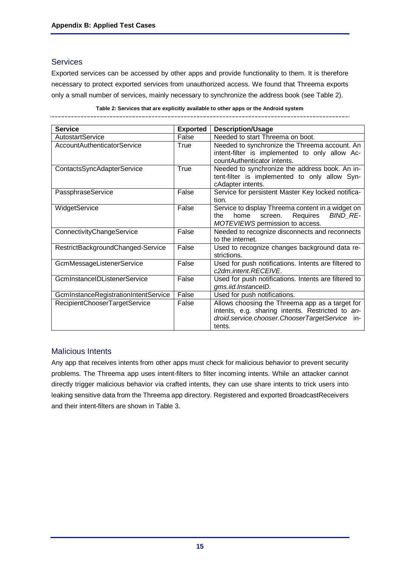# **Services**

Exported services can be accessed by other apps and provide functionality to them. It is therefore necessary to protect exported services from unauthorized access. We found that Threema exports only a small number of services, mainly necessary to synchronize the address book (see [Table 2\)](#page-14-0).

| <b>Service</b>                       | <b>Exported</b> | <b>Description/Usage</b>                                                                                                                                        |
|--------------------------------------|-----------------|-----------------------------------------------------------------------------------------------------------------------------------------------------------------|
| AutostartService                     | False           | Needed to start Threema on boot.                                                                                                                                |
| AccountAuthenticatorService          | True            | Needed to synchronize the Threema account. An<br>intent-filter is implemented to only allow Ac-<br>countAuthenticator intents.                                  |
| ContactsSyncAdapterService           | True            | Needed to synchronize the address book. An in-<br>tent-filter is implemented to only allow Syn-<br>cAdapter intents.                                            |
| PassphraseService                    | False           | Service for persistent Master Key locked notifica-<br>tion.                                                                                                     |
| WidgetService                        | False           | Service to display Threema content in a widget on<br>Requires<br>BIND_RE-<br>home<br>the<br>screen.<br>MOTEVIEWS permission to access.                          |
| ConnectivityChangeService            | False           | Needed to recognize disconnects and reconnects<br>to the internet.                                                                                              |
| RestrictBackgroundChanged-Service    | False           | Used to recognize changes background data re-<br>strictions.                                                                                                    |
| GcmMessageListenerService            | False           | Used for push notifications. Intents are filtered to<br>c2dm.intent.RECEIVE.                                                                                    |
| GcmInstanceIDListenerService         | False           | Used for push notifications. Intents are filtered to<br>gms.iid.InstanceID.                                                                                     |
| GcmInstanceRegistrationIntentService | False           | Used for push notifications.                                                                                                                                    |
| RecipientChooserTargetService        | False           | Allows choosing the Threema app as a target for<br>intents, e.g. sharing intents. Restricted to an-<br>droid.service.chooser.ChooserTargetService in-<br>tents. |

#### **Table 2: Services that are explicitly available to other apps or the Android system**

<span id="page-14-0"></span>\_\_\_\_\_\_\_\_\_\_\_\_\_\_\_ \_\_\_\_\_\_\_\_\_\_\_\_\_\_\_\_\_\_\_\_\_

## Malicious Intents

Any app that receives intents from other apps must check for malicious behavior to prevent security problems. The Threema app uses intent-filters to filter incoming intents. While an attacker cannot directly trigger malicious behavior via crafted intents, they can use share intents to trick users into leaking sensitive data from the Threema app directory. Registered and exported BroadcastReceivers and their intent-filters are shown in [Table 3](#page-15-0).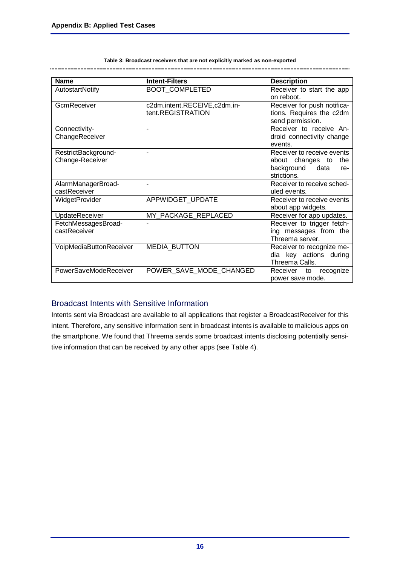<span id="page-15-0"></span>-------

| <b>Name</b>                        | <b>Intent-Filters</b>        | <b>Description</b>                       |
|------------------------------------|------------------------------|------------------------------------------|
| <b>AutostartNotify</b>             | <b>BOOT COMPLETED</b>        | Receiver to start the app                |
|                                    |                              | on reboot.                               |
| GcmReceiver                        | c2dm.intent.RECEIVE,c2dm.in- | Receiver for push notifica-              |
|                                    | tent.REGISTRATION            | tions. Requires the c2dm                 |
|                                    |                              | send permission.                         |
| Connectivity-                      | $\blacksquare$               | Receiver to receive An-                  |
| ChangeReceiver                     |                              | droid connectivity change                |
|                                    |                              | events.                                  |
| RestrictBackground-                |                              | Receiver to receive events               |
| Change-Receiver                    |                              | about changes to<br>the                  |
|                                    |                              | background<br>data<br>re-<br>strictions. |
|                                    |                              |                                          |
| AlarmManagerBroad-<br>castReceiver |                              | Receiver to receive sched-               |
|                                    |                              | uled events.                             |
| WidgetProvider                     | APPWIDGET_UPDATE             | Receiver to receive events               |
|                                    |                              | about app widgets.                       |
| UpdateReceiver                     | MY PACKAGE REPLACED          | Receiver for app updates.                |
| FetchMessagesBroad-                |                              | Receiver to trigger fetch-               |
| castReceiver                       |                              | ing messages from the                    |
|                                    |                              | Threema server.                          |
| VoipMediaButtonReceiver            | <b>MEDIA BUTTON</b>          | Receiver to recognize me-                |
|                                    |                              | dia key actions during                   |
|                                    |                              | Threema Calls.                           |
| PowerSaveModeReceiver              | POWER SAVE MODE CHANGED      | Receiver<br>recognize<br>to              |
|                                    |                              | power save mode.                         |

**Table 3: Broadcast receivers that are not explicitly marked as non-exported** 

\_\_\_\_\_\_\_\_\_\_\_\_\_

# Broadcast Intents with Sensitive Information

Intents sent via Broadcast are available to all applications that register a BroadcastReceiver for this intent. Therefore, any sensitive information sent in broadcast intents is available to malicious apps on the smartphone. We found that Threema sends some broadcast intents disclosing potentially sensitive information that can be received by any other apps (see [Table 4\)](#page-16-0).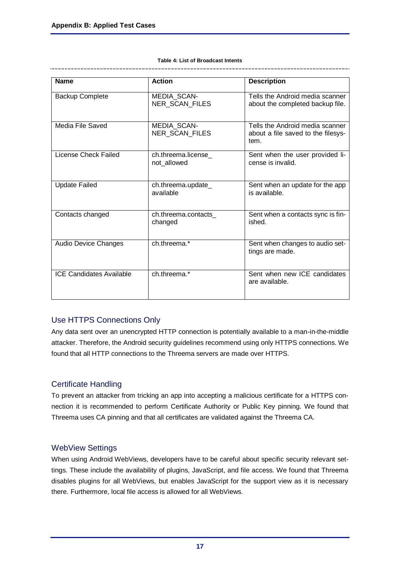#### **Table 4: List of Broadcast Intents**

<span id="page-16-0"></span>

| <b>Name</b>                     | <b>Action</b>                        | <b>Description</b>                                                            |
|---------------------------------|--------------------------------------|-------------------------------------------------------------------------------|
| <b>Backup Complete</b>          | <b>MEDIA SCAN-</b><br>NER_SCAN_FILES | Tells the Android media scanner<br>about the completed backup file.           |
| Media File Saved                | <b>MEDIA SCAN-</b><br>NER_SCAN_FILES | Tells the Android media scanner<br>about a file saved to the filesys-<br>tem. |
| License Check Failed            | ch.threema.license<br>not_allowed    | Sent when the user provided li-<br>cense is invalid.                          |
| <b>Update Failed</b>            | ch.threema.update_<br>available      | Sent when an update for the app<br>is available.                              |
| Contacts changed                | ch.threema.contacts<br>changed       | Sent when a contacts sync is fin-<br>ished.                                   |
| <b>Audio Device Changes</b>     | ch.threema.*                         | Sent when changes to audio set-<br>tings are made.                            |
| <b>ICE Candidates Available</b> | ch.threema.*                         | Sent when new ICE candidates<br>are available.                                |

# Use HTTPS Connections Only

Any data sent over an unencrypted HTTP connection is potentially available to a man-in-the-middle attacker. Therefore, the Android security guidelines recommend using only HTTPS connections. We found that all HTTP connections to the Threema servers are made over HTTPS.

# Certificate Handling

To prevent an attacker from tricking an app into accepting a malicious certificate for a HTTPS connection it is recommended to perform Certificate Authority or Public Key pinning. We found that Threema uses CA pinning and that all certificates are validated against the Threema CA.

## WebView Settings

When using Android WebViews, developers have to be careful about specific security relevant settings. These include the availability of plugins, JavaScript, and file access. We found that Threema disables plugins for all WebViews, but enables JavaScript for the support view as it is necessary there. Furthermore, local file access is allowed for all WebViews.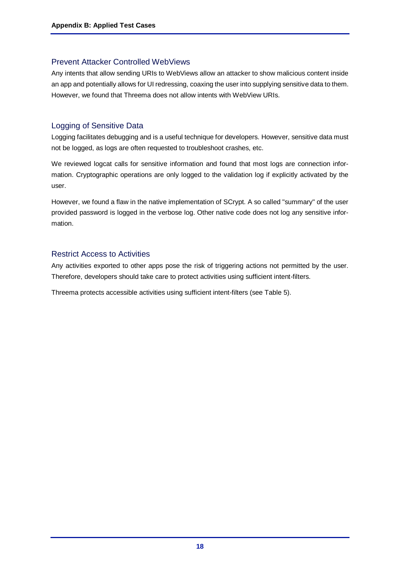# Prevent Attacker Controlled WebViews

Any intents that allow sending URIs to WebViews allow an attacker to show malicious content inside an app and potentially allows for UI redressing, coaxing the user into supplying sensitive data to them. However, we found that Threema does not allow intents with WebView URIs.

# Logging of Sensitive Data

Logging facilitates debugging and is a useful technique for developers. However, sensitive data must not be logged, as logs are often requested to troubleshoot crashes, etc.

We reviewed logcat calls for sensitive information and found that most logs are connection information. Cryptographic operations are only logged to the validation log if explicitly activated by the user.

However, we found a flaw in the native implementation of SCrypt. A so called "summary" of the user provided password is logged in the verbose log. Other native code does not log any sensitive information.

# Restrict Access to Activities

Any activities exported to other apps pose the risk of triggering actions not permitted by the user. Therefore, developers should take care to protect activities using sufficient intent-filters.

Threema protects accessible activities using sufficient intent-filters (see [Table 5\)](#page-18-0).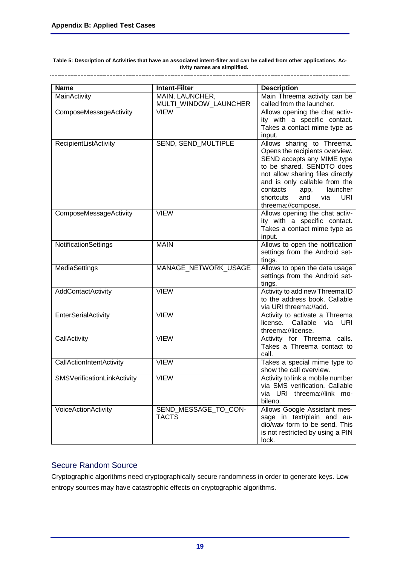<span id="page-18-0"></span>**Table 5: Description of Activities that have an associated intent-filter and can be called from other applications. Activity names are simplified.** 

| <b>Name</b>                 | <b>Intent-Filter</b>                     |                                                                                                                                                                                                                                                                                             |
|-----------------------------|------------------------------------------|---------------------------------------------------------------------------------------------------------------------------------------------------------------------------------------------------------------------------------------------------------------------------------------------|
|                             |                                          | <b>Description</b>                                                                                                                                                                                                                                                                          |
| MainActivity                | MAIN, LAUNCHER,<br>MULTI WINDOW LAUNCHER | Main Threema activity can be<br>called from the launcher.                                                                                                                                                                                                                                   |
| ComposeMessageActivity      | <b>VIEW</b>                              | Allows opening the chat activ-<br>ity with a specific contact.<br>Takes a contact mime type as<br>input.                                                                                                                                                                                    |
| RecipientListActivity       | SEND, SEND_MULTIPLE                      | Allows sharing to Threema.<br>Opens the recipients overview.<br>SEND accepts any MIME type<br>to be shared. SENDTO does<br>not allow sharing files directly<br>and is only callable from the<br>launcher<br>contacts<br>app,<br>and<br><b>URI</b><br>shortcuts<br>via<br>threema://compose. |
| ComposeMessageActivity      | <b>VIEW</b>                              | Allows opening the chat activ-<br>ity with a specific contact.<br>Takes a contact mime type as<br>input.                                                                                                                                                                                    |
| NotificationSettings        | <b>MAIN</b>                              | Allows to open the notification<br>settings from the Android set-<br>tings.                                                                                                                                                                                                                 |
| <b>MediaSettings</b>        | MANAGE_NETWORK_USAGE                     | Allows to open the data usage<br>settings from the Android set-<br>tings.                                                                                                                                                                                                                   |
| AddContactActivity          | <b>VIEW</b>                              | Activity to add new Threema ID<br>to the address book. Callable<br>via URI threema://add.                                                                                                                                                                                                   |
| EnterSerialActivity         | <b>VIEW</b>                              | Activity to activate a Threema<br>license. Callable via URI<br>threema://license.                                                                                                                                                                                                           |
| CallActivity                | <b>VIEW</b>                              | Activity for Threema calls.<br>Takes a Threema contact to<br>call.                                                                                                                                                                                                                          |
| CallActionIntentActivity    | <b>VIEW</b>                              | Takes a special mime type to<br>show the call overview.                                                                                                                                                                                                                                     |
| SMSVerificationLinkActivity | <b>VIEW</b>                              | Activity to link a mobile number<br>via SMS verification. Callable<br>via URI threema://link mo-<br>bileno.                                                                                                                                                                                 |
| VoiceActionActivity         | SEND_MESSAGE_TO_CON-<br><b>TACTS</b>     | Allows Google Assistant mes-<br>sage in text/plain and au-<br>dio/wav form to be send. This<br>is not restricted by using a PIN<br>lock.                                                                                                                                                    |

# Secure Random Source

Cryptographic algorithms need cryptographically secure randomness in order to generate keys. Low entropy sources may have catastrophic effects on cryptographic algorithms.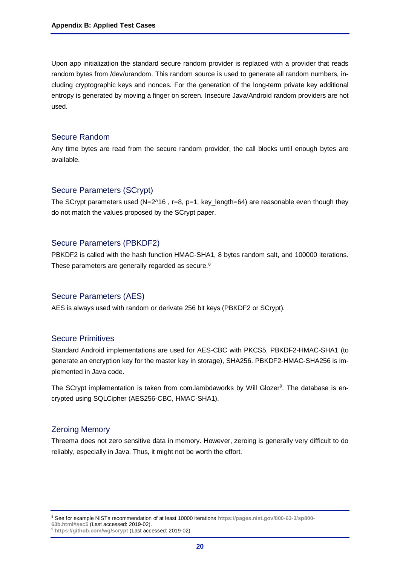Upon app initialization the standard secure random provider is replaced with a provider that reads random bytes from /dev/urandom. This random source is used to generate all random numbers, including cryptographic keys and nonces. For the generation of the long-term private key additional entropy is generated by moving a finger on screen. Insecure Java/Android random providers are not used.

#### Secure Random

Any time bytes are read from the secure random provider, the call blocks until enough bytes are available.

#### Secure Parameters (SCrypt)

The SCrypt parameters used (N=2^16, r=8, p=1, key\_length=64) are reasonable even though they do not match the values proposed by the SCrypt paper.

## Secure Parameters (PBKDF2)

PBKDF2 is called with the hash function HMAC-SHA1, 8 bytes random salt, and 100000 iterations. These parameters are generally regarded as secure.<sup>8</sup>

#### Secure Parameters (AES)

AES is always used with random or derivate 256 bit keys (PBKDF2 or SCrypt).

## Secure Primitives

Standard Android implementations are used for AES-CBC with PKCS5, PBKDF2-HMAC-SHA1 (to generate an encryption key for the master key in storage), SHA256. PBKDF2-HMAC-SHA256 is implemented in Java code.

The SCrypt implementation is taken from com.lambdaworks by Will Glozer<sup>9</sup>. The database is encrypted using SQLCipher (AES256-CBC, HMAC-SHA1).

## Zeroing Memory

Threema does not zero sensitive data in memory. However, zeroing is generally very difficult to do reliably, especially in Java. Thus, it might not be worth the effort.

<sup>8</sup> See for example NISTs recommendation of at least 10000 iterations **[https://pages.nist.gov/800-63-3/sp800-](https://pages.nist.gov/800-63-3/sp800-63b.html%23sec5) [63b.html#sec5](https://pages.nist.gov/800-63-3/sp800-63b.html%23sec5)** (Last accessed: 2019-02).

<sup>9</sup> **<https://github.com/wg/scrypt>** (Last accessed: 2019-02)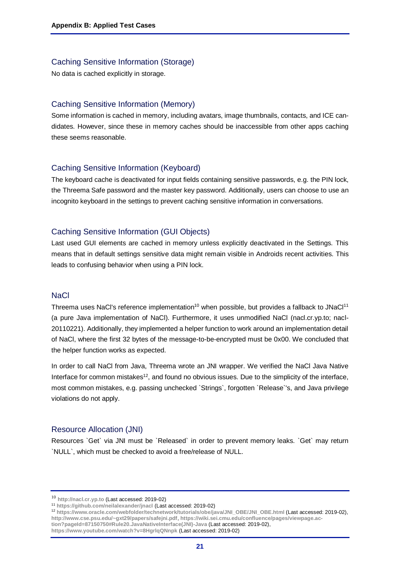#### Caching Sensitive Information (Storage)

No data is cached explicitly in storage.

#### Caching Sensitive Information (Memory)

Some information is cached in memory, including avatars, image thumbnails, contacts, and ICE candidates. However, since these in memory caches should be inaccessible from other apps caching these seems reasonable.

## Caching Sensitive Information (Keyboard)

The keyboard cache is deactivated for input fields containing sensitive passwords, e.g. the PIN lock, the Threema Safe password and the master key password. Additionally, users can choose to use an incognito keyboard in the settings to prevent caching sensitive information in conversations.

## Caching Sensitive Information (GUI Objects)

Last used GUI elements are cached in memory unless explicitly deactivated in the Settings. This means that in default settings sensitive data might remain visible in Androids recent activities. This leads to confusing behavior when using a PIN lock.

#### **NaCl**

Threema uses NaCl's reference implementation<sup>10</sup> when possible, but provides a fallback to JNaCl<sup>11</sup> (a pure Java implementation of NaCl). Furthermore, it uses unmodified NaCl (nacl.cr.yp.to; nacl-20110221). Additionally, they implemented a helper function to work around an implementation detail of NaCl, where the first 32 bytes of the message-to-be-encrypted must be 0x00. We concluded that the helper function works as expected.

In order to call NaCl from Java, Threema wrote an JNI wrapper. We verified the NaCl Java Native Interface for common mistakes $12$ , and found no obvious issues. Due to the simplicity of the interface, most common mistakes, e.g. passing unchecked `Strings`, forgotten `Release`'s, and Java privilege violations do not apply.

#### Resource Allocation (JNI)

Resources `Get` via JNI must be `Released` in order to prevent memory leaks. `Get` may return `NULL`, which must be checked to avoid a free/release of NULL.

**[https://www.youtube.com/watch?v=8HgrlqQNnpk](https://www.youtube.com/watch?v=8HgrlqQNnpk%20)** (Last accessed: 2019-02)

<sup>10</sup> **[http://nacl.cr.yp.to](http://nacl.cr.yp.to/)** (Last accessed: 2019-02)

<sup>11</sup> **<https://github.com/neilalexander/jnacl>** (Last accessed: 2019-02)

<sup>12</sup> **[https://www.oracle.com/webfolder/technetwork/tutorials/obe/java/JNI\\_OBE/JNI\\_OBE.html](https://www.oracle.com/webfolder/technetwork/tutorials/obe/java/JNI_OBE/JNI_OBE.html)** (Last accessed: 2019-02), **<http://www.cse.psu.edu/~gxt29/papers/safejni.pdf>**, **[https://wiki.sei.cmu.edu/confluence/pages/viewpage.ac](https://wiki.sei.cmu.edu/confluence/pages/viewpage.action?pageId=87150750#Rule20.JavaNativeInterface(JNI)-Java)[tion?pageId=87150750#Rule20.JavaNativeInterface\(JNI\)-Java](https://wiki.sei.cmu.edu/confluence/pages/viewpage.action?pageId=87150750#Rule20.JavaNativeInterface(JNI)-Java)** (Last accessed: 2019-02),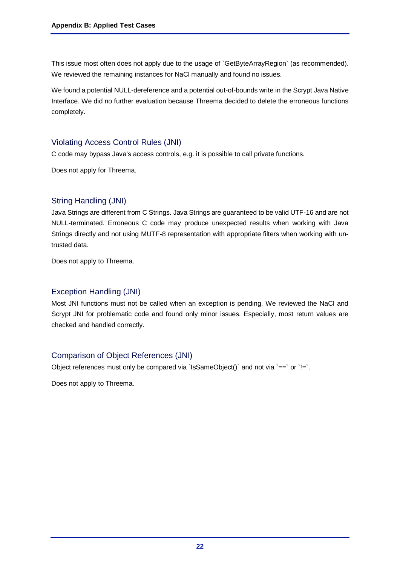This issue most often does not apply due to the usage of `GetByteArrayRegion` (as recommended). We reviewed the remaining instances for NaCl manually and found no issues.

We found a potential NULL-dereference and a potential out-of-bounds write in the Scrypt Java Native Interface. We did no further evaluation because Threema decided to delete the erroneous functions completely.

# Violating Access Control Rules (JNI)

C code may bypass Java's access controls, e.g. it is possible to call private functions.

Does not apply for Threema.

# String Handling (JNI)

Java Strings are different from C Strings. Java Strings are guaranteed to be valid UTF-16 and are not NULL-terminated. Erroneous C code may produce unexpected results when working with Java Strings directly and not using MUTF-8 representation with appropriate filters when working with untrusted data.

Does not apply to Threema.

# Exception Handling (JNI)

Most JNI functions must not be called when an exception is pending. We reviewed the NaCl and Scrypt JNI for problematic code and found only minor issues. Especially, most return values are checked and handled correctly.

# Comparison of Object References (JNI)

Object references must only be compared via `IsSameObject()` and not via  $=$  `or `!=`.

Does not apply to Threema.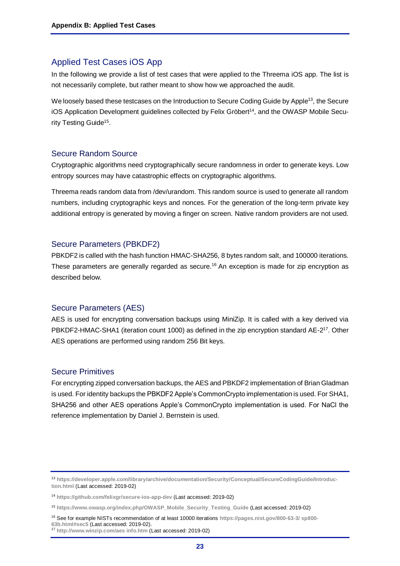# <span id="page-22-0"></span>Applied Test Cases iOS App

In the following we provide a list of test cases that were applied to the Threema iOS app. The list is not necessarily complete, but rather meant to show how we approached the audit.

We loosely based these testcases on the Introduction to Secure Coding Guide by Apple<sup>13</sup>, the Secure iOS Application Development guidelines collected by Felix Gröbert<sup>14</sup>, and the OWASP Mobile Security Testing Guide<sup>15</sup>.

#### Secure Random Source

Cryptographic algorithms need cryptographically secure randomness in order to generate keys. Low entropy sources may have catastrophic effects on cryptographic algorithms.

Threema reads random data from /dev/urandom. This random source is used to generate all random numbers, including cryptographic keys and nonces. For the generation of the long-term private key additional entropy is generated by moving a finger on screen. Native random providers are not used.

#### Secure Parameters (PBKDF2)

PBKDF2 is called with the hash function HMAC-SHA256, 8 bytes random salt, and 100000 iterations. These parameters are generally regarded as secure.<sup>16</sup> An exception is made for zip encryption as described below.

#### Secure Parameters (AES)

AES is used for encrypting conversation backups using MiniZip. It is called with a key derived via PBKDF2-HMAC-SHA1 (iteration count 1000) as defined in the zip encryption standard AE-2<sup>17</sup>. Other AES operations are performed using random 256 Bit keys.

#### Secure Primitives

For encrypting zipped conversation backups, the AES and PBKDF2 implementation of Brian Gladman is used. For identity backups the PBKDF2 Apple's CommonCrypto implementation is used. For SHA1, SHA256 and other AES operations Apple's CommonCrypto implementation is used. For NaCl the reference implementation by Daniel J. Bernstein is used.

<sup>16</sup> See for example NISTs recommendation of at least 10000 iterations **[https://pages.nist.gov/800-63-3/ sp800-](https://pages.nist.gov/800-63-3/%20sp800-63b.html%23sec5) [63b.html#sec5](https://pages.nist.gov/800-63-3/%20sp800-63b.html%23sec5)** (Last accessed: 2019-02).

<sup>13</sup> **[https://developer.apple.com/library/archive/documentation/Security/Conceptual/SecureCodingGuide/Introduc](https://developer.apple.com/library/archive/documentation/Security/Conceptual/SecureCodingGuide/Introduction.html)[tion.html](https://developer.apple.com/library/archive/documentation/Security/Conceptual/SecureCodingGuide/Introduction.html)** (Last accessed: 2019-02)

<sup>14</sup> **<https://github.com/felixgr/secure-ios-app-dev>** (Last accessed: 2019-02)

<sup>15</sup> **[https://www.owasp.org/index.php/OWASP\\_Mobile\\_Security\\_Testing\\_Guide](https://www.owasp.org/index.php/OWASP_Mobile_Security_Testing_Guide)** (Last accessed: 2019-02)

<sup>17</sup> **[http://www.winzip.com/aes info.htm](http://www.winzip.com/aes%20info.htm)** (Last accessed: 2019-02)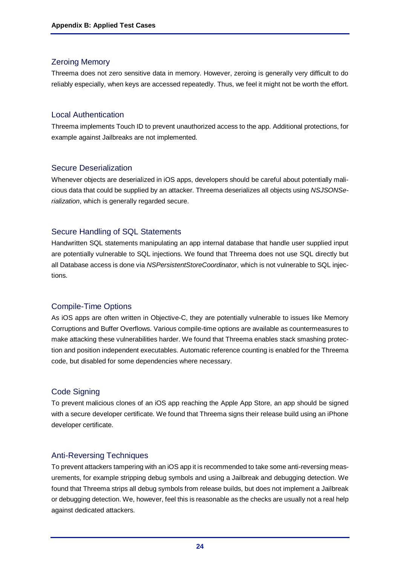# Zeroing Memory

Threema does not zero sensitive data in memory. However, zeroing is generally very difficult to do reliably especially, when keys are accessed repeatedly. Thus, we feel it might not be worth the effort.

## Local Authentication

Threema implements Touch ID to prevent unauthorized access to the app. Additional protections, for example against Jailbreaks are not implemented.

# Secure Deserialization

Whenever objects are deserialized in iOS apps, developers should be careful about potentially malicious data that could be supplied by an attacker. Threema deserializes all objects using *NSJSONSerialization*, which is generally regarded secure.

# Secure Handling of SQL Statements

Handwritten SQL statements manipulating an app internal database that handle user supplied input are potentially vulnerable to SQL injections. We found that Threema does not use SQL directly but all Database access is done via *NSPersistentStoreCoordinator*, which is not vulnerable to SQL injections.

# Compile-Time Options

As iOS apps are often written in Objective-C, they are potentially vulnerable to issues like Memory Corruptions and Buffer Overflows. Various compile-time options are available as countermeasures to make attacking these vulnerabilities harder. We found that Threema enables stack smashing protection and position independent executables. Automatic reference counting is enabled for the Threema code, but disabled for some dependencies where necessary.

## Code Signing

To prevent malicious clones of an iOS app reaching the Apple App Store, an app should be signed with a secure developer certificate. We found that Threema signs their release build using an iPhone developer certificate.

# Anti-Reversing Techniques

To prevent attackers tampering with an iOS app it is recommended to take some anti-reversing measurements, for example stripping debug symbols and using a Jailbreak and debugging detection. We found that Threema strips all debug symbols from release builds, but does not implement a Jailbreak or debugging detection. We, however, feel this is reasonable as the checks are usually not a real help against dedicated attackers.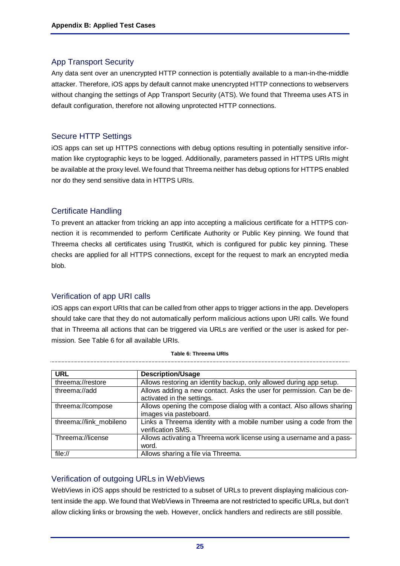# App Transport Security

Any data sent over an unencrypted HTTP connection is potentially available to a man-in-the-middle attacker. Therefore, iOS apps by default cannot make unencrypted HTTP connections to webservers without changing the settings of App Transport Security (ATS). We found that Threema uses ATS in default configuration, therefore not allowing unprotected HTTP connections.

# Secure HTTP Settings

iOS apps can set up HTTPS connections with debug options resulting in potentially sensitive information like cryptographic keys to be logged. Additionally, parameters passed in HTTPS URIs might be available at the proxy level. We found that Threema neither has debug options for HTTPS enabled nor do they send sensitive data in HTTPS URIs.

# Certificate Handling

To prevent an attacker from tricking an app into accepting a malicious certificate for a HTTPS connection it is recommended to perform Certificate Authority or Public Key pinning. We found that Threema checks all certificates using TrustKit, which is configured for public key pinning. These checks are applied for all HTTPS connections, except for the request to mark an encrypted media blob.

# Verification of app URI calls

iOS apps can export URIs that can be called from other apps to trigger actions in the app. Developers should take care that they do not automatically perform malicious actions upon URI calls. We found that in Threema all actions that can be triggered via URLs are verified or the user is asked for permission. See [Table 6](#page-24-0) for all available URIs.

<span id="page-24-0"></span>

| <b>URL</b>              | <b>Description/Usage</b>                                                                            |
|-------------------------|-----------------------------------------------------------------------------------------------------|
| threema://restore       | Allows restoring an identity backup, only allowed during app setup.                                 |
| threema://add           | Allows adding a new contact. Asks the user for permission. Can be de-<br>activated in the settings. |
| threema://compose       | Allows opening the compose dialog with a contact. Also allows sharing<br>images via pasteboard.     |
| threema://link mobileno | Links a Threema identity with a mobile number using a code from the<br>verification SMS.            |
| Threema://license       | Allows activating a Threema work license using a username and a pass-<br>word.                      |
| file://                 | Allows sharing a file via Threema.                                                                  |

#### **Table 6: Threema URIs**

# Verification of outgoing URLs in WebViews

WebViews in iOS apps should be restricted to a subset of URLs to prevent displaying malicious content inside the app. We found that WebViews in Threema are not restricted to specific URLs, but don't allow clicking links or browsing the web. However, onclick handlers and redirects are still possible.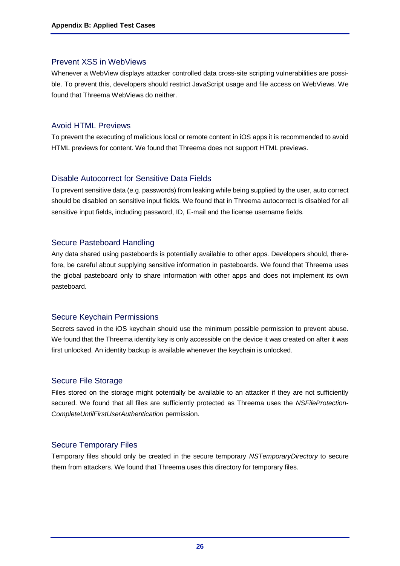## Prevent XSS in WebViews

Whenever a WebView displays attacker controlled data cross-site scripting vulnerabilities are possible. To prevent this, developers should restrict JavaScript usage and file access on WebViews. We found that Threema WebViews do neither.

# Avoid HTML Previews

To prevent the executing of malicious local or remote content in iOS apps it is recommended to avoid HTML previews for content. We found that Threema does not support HTML previews.

# Disable Autocorrect for Sensitive Data Fields

To prevent sensitive data (e.g. passwords) from leaking while being supplied by the user, auto correct should be disabled on sensitive input fields. We found that in Threema autocorrect is disabled for all sensitive input fields, including password, ID, E-mail and the license username fields.

# Secure Pasteboard Handling

Any data shared using pasteboards is potentially available to other apps. Developers should, therefore, be careful about supplying sensitive information in pasteboards. We found that Threema uses the global pasteboard only to share information with other apps and does not implement its own pasteboard.

# Secure Keychain Permissions

Secrets saved in the iOS keychain should use the minimum possible permission to prevent abuse. We found that the Threema identity key is only accessible on the device it was created on after it was first unlocked. An identity backup is available whenever the keychain is unlocked.

# Secure File Storage

Files stored on the storage might potentially be available to an attacker if they are not sufficiently secured. We found that all files are sufficiently protected as Threema uses the *NSFileProtection-CompleteUntilFirstUserAuthentication* permission.

# Secure Temporary Files

Temporary files should only be created in the secure temporary *NSTemporaryDirectory* to secure them from attackers. We found that Threema uses this directory for temporary files.